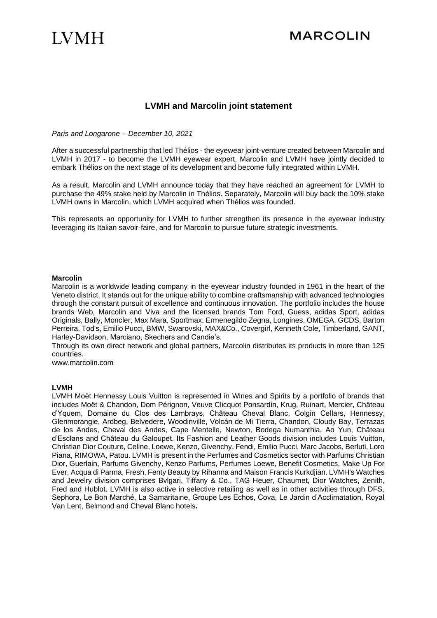## **IVMH**

### **LVMH and Marcolin joint statement**

*Paris and Longarone – December 10, 2021*

After a successful partnership that led Thélios - the eyewear joint-venture created between Marcolin and LVMH in 2017 - to become the LVMH eyewear expert, Marcolin and LVMH have jointly decided to embark Thélios on the next stage of its development and become fully integrated within LVMH.

As a result, Marcolin and LVMH announce today that they have reached an agreement for LVMH to purchase the 49% stake held by Marcolin in Thélios. Separately, Marcolin will buy back the 10% stake LVMH owns in Marcolin, which LVMH acquired when Thélios was founded.

This represents an opportunity for LVMH to further strengthen its presence in the eyewear industry leveraging its Italian savoir-faire, and for Marcolin to pursue future strategic investments.

#### **Marcolin**

Marcolin is a worldwide leading company in the eyewear industry founded in 1961 in the heart of the Veneto district. It stands out for the unique ability to combine craftsmanship with advanced technologies through the constant pursuit of excellence and continuous innovation. The portfolio includes the house brands Web, Marcolin and Viva and the licensed brands Tom Ford, Guess, adidas Sport, adidas Originals, Bally, Moncler, Max Mara, Sportmax, Ermenegildo Zegna, Longines, OMEGA, GCDS, Barton Perreira, Tod's, Emilio Pucci, BMW, Swarovski, MAX&Co., Covergirl, Kenneth Cole, Timberland, GANT, Harley-Davidson, Marciano, Skechers and Candie's.

Through its own direct network and global partners, Marcolin distributes its products in more than 125 countries.

www.marcolin.com

#### **LVMH**

LVMH Moët Hennessy Louis Vuitton is represented in Wines and Spirits by a portfolio of brands that includes Moët & Chandon, Dom Pérignon, Veuve Clicquot Ponsardin, Krug, Ruinart, Mercier, Château d'Yquem, Domaine du Clos des Lambrays, Château Cheval Blanc, Colgin Cellars, Hennessy, Glenmorangie, Ardbeg, Belvedere, Woodinville, Volcán de Mi Tierra, Chandon, Cloudy Bay, Terrazas de los Andes, Cheval des Andes, Cape Mentelle, Newton, Bodega Numanthia, Ao Yun, Château d'Esclans and Château du Galoupet. Its Fashion and Leather Goods division includes Louis Vuitton, Christian Dior Couture, Celine, Loewe, Kenzo, Givenchy, Fendi, Emilio Pucci, Marc Jacobs, Berluti, Loro Piana, RIMOWA, Patou. LVMH is present in the Perfumes and Cosmetics sector with Parfums Christian Dior, Guerlain, Parfums Givenchy, Kenzo Parfums, Perfumes Loewe, Benefit Cosmetics, Make Up For Ever, Acqua di Parma, Fresh, Fenty Beauty by Rihanna and Maison Francis Kurkdjian. LVMH's Watches and Jewelry division comprises Bvlgari, Tiffany & Co., TAG Heuer, Chaumet, Dior Watches, Zenith, Fred and Hublot. LVMH is also active in selective retailing as well as in other activities through DFS, Sephora, Le Bon Marché, La Samaritaine, Groupe Les Echos, Cova, Le Jardin d'Acclimatation, Royal Van Lent, Belmond and Cheval Blanc hotels**.**